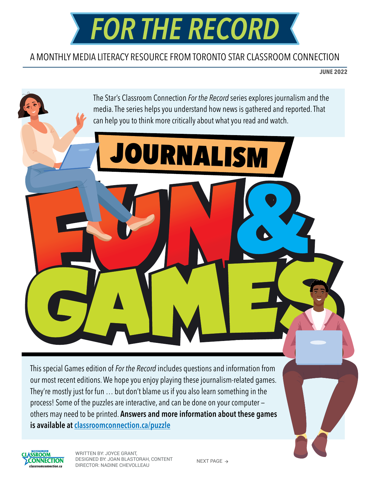

#### A MONTHLY MEDIA LITERACY RESOURCE FROM TORONTO STAR CLASSROOM CONNECTION

**JUNE 2022**



This special Games edition of *For the Record* includes questions and information from our most recent editions. We hope you enjoy playing these journalism-related games. They're mostly just for fun … but don't blame us if you also learn something in the process! Some of the puzzles are interactive, and can be done on your computer others may need to be printed. Answers and more information about these games is available at [classroomconnection.ca/puzzle](https://www.classroomconnection.ca/puzzle.html)



WRITTEN BY: JOYCE GRANT, DESIGNED BY: JOAN BLASTORAH, CONTENT DIRECTOR: NADINE CHEVOLLEAU

NEXT PAGE  $\rightarrow$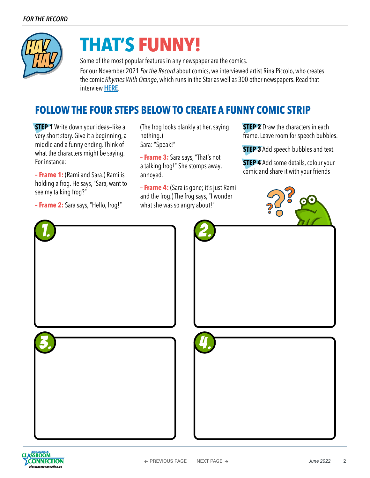

# **THAT'S FUNNY!**

Some of the most popular features in any newspaper are the comics. For our November 2021 *For the Record* about comics, we interviewed artist Rina Piccolo, who creates the comic *Rhymes With Orange*, which runs in the Star as well as 300 other newspapers. Read that interview [HERE](https://www.classroomconnection.ca/uploads/5/1/5/1/51516751/for_the_record-nov_2021.pdf).

### **FOLLOW THE FOUR STEPS BELOW TO CREATE A FUNNY COMIC STRIP**

**STEP 1** Write down your ideas-like a very short story. Give it a beginning, a middle and a funny ending. Think of what the characters might be saying. For instance:

**– Frame 1:** (Rami and Sara.) Rami is holding a frog. He says, "Sara, want to see my talking frog?"

**– Frame 2:** Sara says, "Hello, frog!"

(The frog looks blankly at her, saying nothing.) Sara: "Speak!"

**– Frame 3:** Sara says, "That's not a talking frog!" She stomps away, annoyed.

**– Frame 4:** (Sara is gone; it's just Rami and the frog.) The frog says, "I wonder what she was so angry about!"

**STEP 2** Draw the characters in each frame. Leave room for speech bubbles.

**STEP 3** Add speech bubbles and text.

**STEP 4** Add some details, colour your comic and share it with your friends





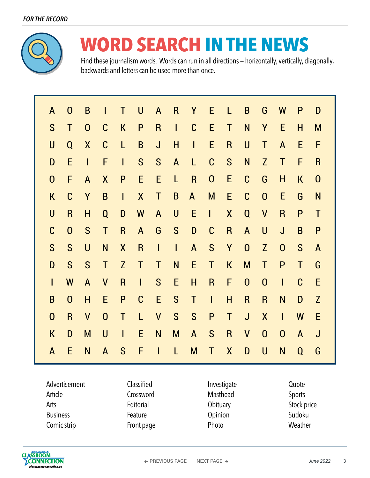

# **WORD SEARCH IN THE NEWS**

Find these journalism words. Words can run in all directions — horizontally, vertically, diagonally, backwards and letters can be used more than once.

| A                | $\mathbf 0$  | B                | I              | T              | U              | $\mathsf{A}$            | R.           | Y              | E                | L            | B            | G              | W              | P           | D                       |
|------------------|--------------|------------------|----------------|----------------|----------------|-------------------------|--------------|----------------|------------------|--------------|--------------|----------------|----------------|-------------|-------------------------|
| S                | Τ            | $\mathbf 0$      | $\mathsf C$    | $\mathsf K$    | P              | $\overline{\mathsf{R}}$ | $\mathbf{I}$ | $\mathbf C$    | E                | Τ            | N            | Y              | E              | H           | M                       |
| $\bigcup$        | Q            | $\boldsymbol{X}$ | $\mathbf C$    | L              | B              | $\mathsf J$             | H            | $\overline{1}$ | E                | $\mathsf R$  | $\bigcup$    | $\mathsf T$    | $\mathsf{A}$   | E           | F                       |
| D                | E            | $\overline{1}$   | F              | $\overline{1}$ | S              | S                       | $\mathsf{A}$ | L              | $\mathsf C$      | S            | N            | $\overline{Z}$ | $\mathsf{T}$   | F           | $\overline{\mathsf{R}}$ |
| $\boldsymbol{0}$ | F            | $\mathsf{A}$     | X              | P              | E              | E                       | L            | $\mathsf R$    | $\boldsymbol{0}$ | E            | $\mathsf C$  | G              | $\mathsf{H}$   | K           | $\boldsymbol{0}$        |
| $\mathsf K$      | $\mathbf C$  | Y                | B              | $\overline{1}$ | X              | Τ                       | B            | $\mathsf{A}$   | M                | E            | $\mathbf C$  | $\mathbf 0$    | E              | G           | N                       |
| $\bigcup$        | R.           | H                | Q              | D              | W              | A                       | $\bigcup$    | E              | $\mathsf{I}$     | X            | Q            | $\mathsf{V}$   | $\mathsf{R}$   | P           | $\mathsf T$             |
| $\mathbf C$      | $\mathbf 0$  | S                | T              | R              | $\mathsf{A}$   | G                       | S            | D              | $\mathbf C$      | $\mathsf{R}$ | $\mathsf{A}$ | $\bigcup$      | $\mathsf{J}$   | B           | $\mathsf{P}$            |
| S                | S            | $\bigcup$        | N              | X              | $\mathsf R$    | $\mathsf{I}$            | $\mathsf{L}$ | $\mathsf{A}$   | S                | Y            | $\mathbf{0}$ | Z              | $\overline{0}$ | S           | $\mathsf{A}$            |
| D                | S            | S                | $\mathsf T$    | Z              | T              | Τ                       | N            | E              | T                | $\mathsf K$  | M            | $\mathsf T$    | P              | $\mathsf T$ | G                       |
| $\mathsf{I}$     | W            | $\mathsf{A}$     | $\mathsf{V}$   | R              | $\overline{1}$ | S                       | E            | H              | $\mathsf{R}$     | F            | $\mathbf 0$  | $\mathbf 0$    | $\mathsf{I}$   | $\mathsf C$ | E                       |
| B                | $\mathbf 0$  | H                | E              | P              | $\mathbf C$    | E                       | S            | $\mathsf{T}$   | $\mathbf{I}$     | H            | $\mathsf{R}$ | $\overline{R}$ | N              | D           | $\mathsf{Z}$            |
| $\mathbf{0}$     | $\mathsf{R}$ | $\mathsf{V}$     | $\overline{0}$ | $\mathsf T$    | L              | $\mathsf{V}$            | S            | S              | P                | Τ            | $\mathsf{J}$ | X              | $\mathbf{I}$   | W           | E                       |
| $\mathsf K$      | D            | M                | $\bigcup$      | $\mathsf{I}$   | E              | N                       | M            | $\mathsf{A}$   | S                | $\mathsf R$  | $\mathsf{V}$ | $\mathbf 0$    | $\mathbf{0}$   | A           | J                       |
| $\mathsf{A}$     | E            | N                | $\mathsf{A}$   | S              | F              | $\overline{1}$          | L            | M              | T                | X            | D            | $\overline{U}$ | N              | Q           | G                       |

| Advertisement   | Classified | Investigate | Quote       |
|-----------------|------------|-------------|-------------|
| Article         | Crossword  | Masthead    | Sports      |
| Arts            | Editorial  | Obituary    | Stock price |
| <b>Business</b> | Feature    | Opinion     | Sudoku      |
| Comic strip     | Front page | Photo       | Weather     |

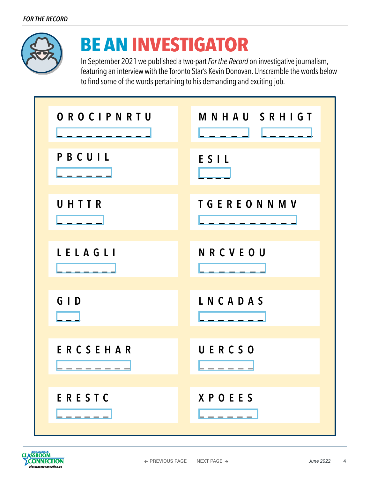

## **BE AN INVESTIGATOR**

In September 2021 we published a two-part *For the Record* on investigative journalism, featuring an interview with the Toronto Star's Kevin Donovan. Unscramble the words below to find some of the words pertaining to his demanding and exciting job.

| OROCIPNRTU | MNHAU SRHIGT      |
|------------|-------------------|
| PBCUIL     | ESIL              |
| UHTTR      | <b>TGEREONNMV</b> |
| LELAGLI    | NRCVEOU           |
| $G \mid D$ | LNCADAS           |
| ERCSEHAR   | UERCSO            |
| ERESTC     | <b>XPOEES</b>     |

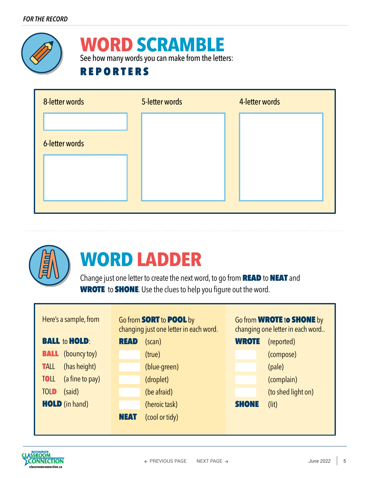

### **WORD SCRAMBLE**

See how many words you can make from the letters:

### **REPORTERS**





# **WORD LADDER**

Change just one letter to create the next word, to go from **READ** to **NEAT** and WROTE to **SHONE**. Use the clues to help you figure out the word.



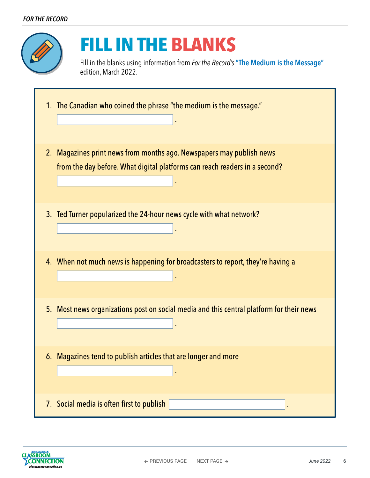

## **FILL IN THE BLANKS**

Fill in the blanks using information from *For the Record's* ["The Medium is the Message"](https://www.classroomconnection.ca/uploads/5/1/5/1/51516751/for_the_record-mar._2022.pdf) edition, March 2022.

| 1. The Canadian who coined the phrase "the medium is the message."                                                                                 |
|----------------------------------------------------------------------------------------------------------------------------------------------------|
| 2. Magazines print news from months ago. Newspapers may publish news<br>from the day before. What digital platforms can reach readers in a second? |
| 3. Ted Turner popularized the 24-hour news cycle with what network?                                                                                |
| 4. When not much news is happening for broadcasters to report, they're having a                                                                    |
| 5. Most news organizations post on social media and this central platform for their news                                                           |
| 6. Magazines tend to publish articles that are longer and more                                                                                     |
| 7. Social media is often first to publish                                                                                                          |